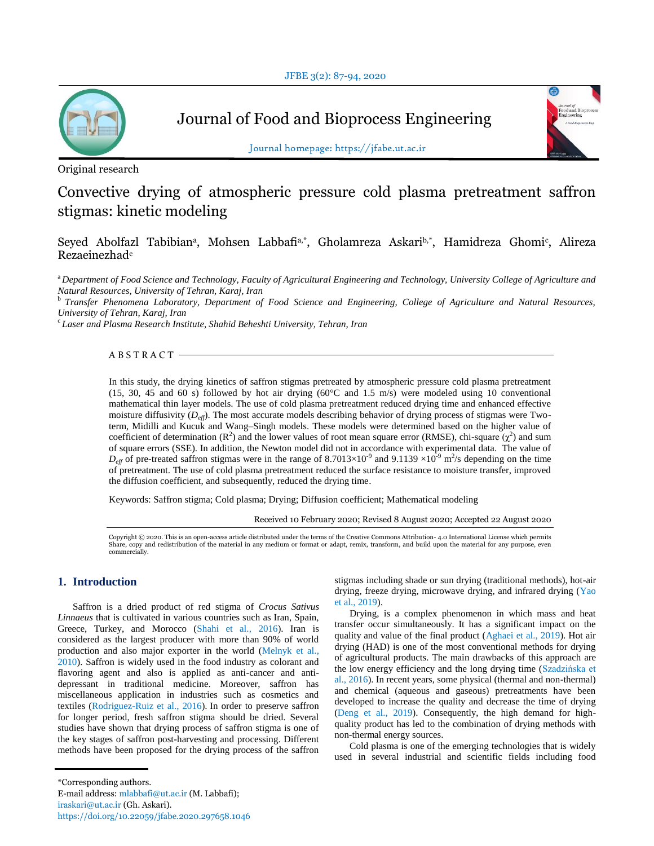

Journal of Food and Bioprocess Engineering



Journal homepage: https://jfabe.ut.ac.ir

Original research

# Convective drying of atmospheric pressure cold plasma pretreatment saffron stigmas: kinetic modeling

Seyed Abolfazl Tabibian<sup>a</sup>, Mohsen Labbafi<sup>a,\*</sup>, Gholamreza Askari<sup>b,\*</sup>, Hamidreza Ghomi<sup>c</sup>, Alireza Rezaeinezhad<sup>e</sup>

<sup>a</sup>*Department of Food Science and Technology, Faculty of Agricultural Engineering and Technology, University College of Agriculture and Natural Resources, University of Tehran, Karaj, Iran*

<sup>b</sup>*Transfer Phenomena Laboratory, Department of Food Science and Engineering, College of Agriculture and Natural Resources, University of Tehran, Karaj, Iran*

c *Laser and Plasma Research Institute, Shahid Beheshti University, Tehran, Iran*

 $ABSTRACT$  –

In this study, the drying kinetics of saffron stigmas pretreated by atmospheric pressure cold plasma pretreatment (15, 30, 45 and 60 s) followed by hot air drying (60°C and 1.5 m/s) were modeled using 10 conventional mathematical thin layer models. The use of cold plasma pretreatment reduced drying time and enhanced effective moisture diffusivity (*Deff*). The most accurate models describing behavior of drying process of stigmas were Twoterm, Midilli and Kucuk and Wang–Singh models. These models were determined based on the higher value of coefficient of determination ( $\mathbb{R}^2$ ) and the lower values of root mean square error (RMSE), chi-square ( $\chi^2$ ) and sum of square errors (SSE). In addition, the Newton model did not in accordance with experimental data. The value of  $D_{\text{eff}}$  of pre-treated saffron stigmas were in the range of 8.7013×10<sup>-9</sup> and 9.1139 ×10<sup>-9</sup> m<sup>2</sup>/s depending on the time of pretreatment. The use of cold plasma pretreatment reduced the surface resistance to moisture transfer, improved the diffusion coefficient, and subsequently, reduced the drying time.

Keywords: Saffron stigma; Cold plasma; Drying; Diffusion coefficient; Mathematical modeling

Received 10 February 2020; Revised 8 August 2020; Accepted 22 August 2020

Copyright © 2020. This is an open-access article distributed under the terms of the Creative Commons Attribution- 4.0 International License which permits Share, copy and redistribution of the material in any medium or format or adapt, remix, transform, and build upon the material for any purpose, even commercially.

## **1. Introduction**

Saffron is a dried product of red stigma of *Crocus Sativus Linnaeus* that is cultivated in various countries such as Iran, Spain, Greece, Turkey, and Morocco (Shahi et al., 2016). Iran is considered as the largest producer with more than 90% of world production and also major exporter in the world (Melnyk et al., 2010). Saffron is widely used in the food industry as colorant and flavoring agent and also is applied as anti-cancer and antidepressant in traditional medicine. Moreover, saffron has miscellaneous application in industries such as cosmetics and textiles (Rodriguez-Ruiz et al., 2016). In order to preserve saffron for longer period, fresh saffron stigma should be dried. Several studies have shown that drying process of saffron stigma is one of the key stages of saffron post-harvesting and processing. Different methods have been proposed for the drying process of the saffron

stigmas including shade or sun drying (traditional methods), hot-air drying, freeze drying, microwave drying, and infrared drying (Yao et al., 2019).

Drying, is a complex phenomenon in which mass and heat transfer occur simultaneously. It has a significant impact on the quality and value of the final product (Aghaei et al., 2019). Hot air drying (HAD) is one of the most conventional methods for drying of agricultural products. The main drawbacks of this approach are the low energy efficiency and the long drying time (Szadzińska et al., 2016). In recent years, some physical (thermal and non-thermal) and chemical (aqueous and gaseous) pretreatments have been developed to increase the quality and decrease the time of drying (Deng et al., 2019). Consequently, the high demand for highquality product has led to the combination of drying methods with non-thermal energy sources.

Cold plasma is one of the emerging technologies that is widely used in several industrial and scientific fields including food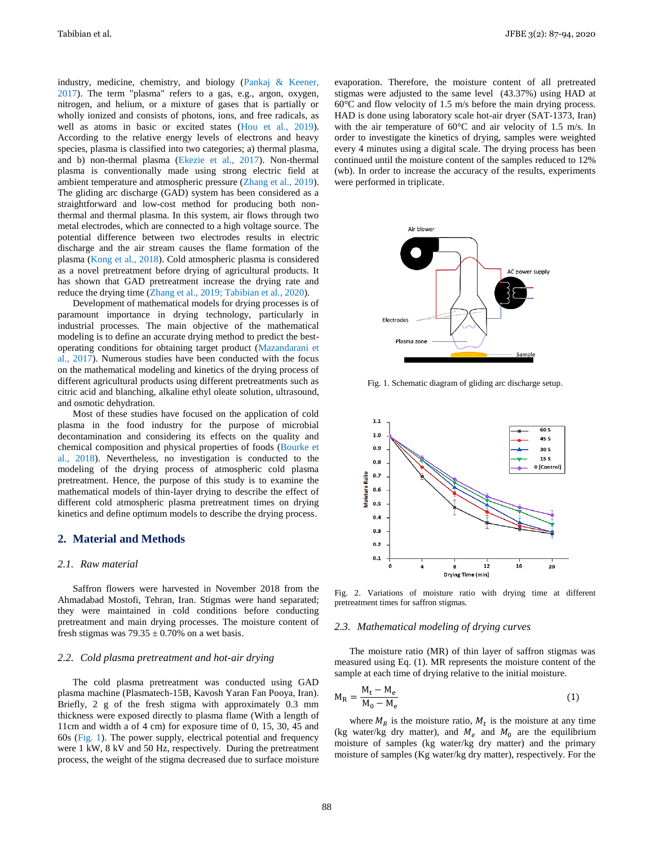industry, medicine, chemistry, and biology (Pankaj & Keener, 2017). The term "plasma" refers to a gas, e.g., argon, oxygen, nitrogen, and helium, or a mixture of gases that is partially or wholly ionized and consists of photons, ions, and free radicals, as well as atoms in basic or excited states (Hou et al., 2019). According to the relative energy levels of electrons and heavy species, plasma is classified into two categories; a) thermal plasma, and b) non-thermal plasma (Ekezie et al., 2017). Non-thermal plasma is conventionally made using strong electric field at ambient temperature and atmospheric pressure (Zhang et al., 2019). The gliding arc discharge (GAD) system has been considered as a straightforward and low-cost method for producing both nonthermal and thermal plasma. In this system, air flows through two metal electrodes, which are connected to a high voltage source. The potential difference between two electrodes results in electric discharge and the air stream causes the flame formation of the plasma (Kong et al., 2018). Cold atmospheric plasma is considered as a novel pretreatment before drying of agricultural products. It has shown that GAD pretreatment increase the drying rate and reduce the drying time (Zhang et al., 2019; Tabibian et al., 2020).

Development of mathematical models for drying processes is of paramount importance in drying technology, particularly in industrial processes. The main objective of the mathematical modeling is to define an accurate drying method to predict the bestoperating conditions for obtaining target product (Mazandarani et al., 2017). Numerous studies have been conducted with the focus on the mathematical modeling and kinetics of the drying process of different agricultural products using different pretreatments such as citric acid and blanching, alkaline ethyl oleate solution, ultrasound, and osmotic dehydration.

Most of these studies have focused on the application of cold plasma in the food industry for the purpose of microbial decontamination and considering its effects on the quality and chemical composition and physical properties of foods (Bourke et al., 2018). Nevertheless, no investigation is conducted to the modeling of the drying process of atmospheric cold plasma pretreatment. Hence, the purpose of this study is to examine the mathematical models of thin-layer drying to describe the effect of different cold atmospheric plasma pretreatment times on drying kinetics and define optimum models to describe the drying process.

## **2. Material and Methods**

## *2.1. Raw material*

Saffron flowers were harvested in November 2018 from the Ahmadabad Mostofi, Tehran, Iran. Stigmas were hand separated; they were maintained in cold conditions before conducting pretreatment and main drying processes. The moisture content of fresh stigmas was  $79.35 \pm 0.70\%$  on a wet basis.

#### *2.2. Cold plasma pretreatment and hot-air drying*

The cold plasma pretreatment was conducted using GAD plasma machine (Plasmatech-15B, Kavosh Yaran Fan Pooya, Iran). Briefly, 2 g of the fresh stigma with approximately 0.3 mm thickness were exposed directly to plasma flame (With a length of 11cm and width a of 4 cm) for exposure time of 0, 15, 30, 45 and 60s (Fig. 1). The power supply, electrical potential and frequency were 1 kW, 8 kV and 50 Hz, respectively. During the pretreatment process, the weight of the stigma decreased due to surface moisture evaporation. Therefore, the moisture content of all pretreated stigmas were adjusted to the same level (43.37%) using HAD at 60°C and flow velocity of 1.5 m/s before the main drying process. HAD is done using laboratory scale hot-air dryer (SAT-1373, Iran) with the air temperature of 60°C and air velocity of 1.5 m/s. In order to investigate the kinetics of drying, samples were weighted every 4 minutes using a digital scale. The drying process has been continued until the moisture content of the samples reduced to 12% (wb). In order to increase the accuracy of the results, experiments were performed in triplicate.



Fig. 1. Schematic diagram of gliding arc discharge setup.



Fig. 2. Variations of moisture ratio with drying time at different pretreatment times for saffron stigmas.

#### *2.3. Mathematical modeling of drying curves*

The moisture ratio (MR) of thin layer of saffron stigmas was measured using Eq. (1). MR represents the moisture content of the sample at each time of drying relative to the initial moisture.

$$
M_R = \frac{M_t - M_e}{M_0 - M_e}
$$
 (1)

where  $M_R$  is the moisture ratio,  $M_t$  is the moisture at any time (kg water/kg dry matter), and  $M_e$  and  $M_0$  are the equilibrium moisture of samples (kg water/kg dry matter) and the primary moisture of samples (Kg water/kg dry matter), respectively. For the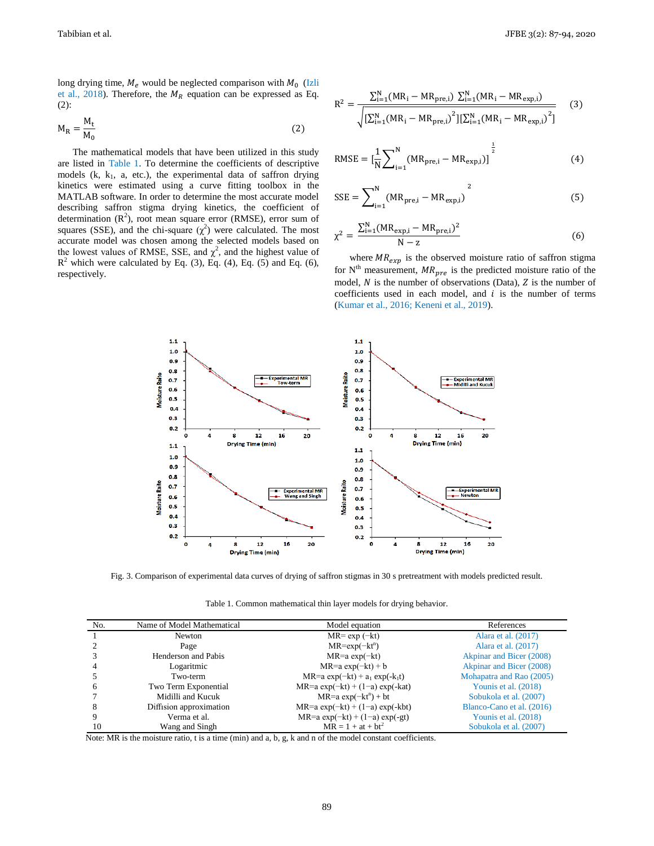long drying time,  $M_e$  would be neglected comparison with  $M_0$  (Izli et al., 2018). Therefore, the  $M_R$  equation can be expressed as Eq. (2):

$$
M_R = \frac{M_t}{M_0} \tag{2}
$$

The mathematical models that have been utilized in this study are listed in Table 1. To determine the coefficients of descriptive models  $(k, k<sub>1</sub>, a, etc.),$  the experimental data of saffron drying kinetics were estimated using a curve fitting toolbox in the MATLAB software. In order to determine the most accurate model describing saffron stigma drying kinetics, the coefficient of determination  $(R<sup>2</sup>)$ , root mean square error (RMSE), error sum of squares (SSE), and the chi-square  $(\chi^2)$  were calculated. The most accurate model was chosen among the selected models based on the lowest values of RMSE, SSE, and  $\chi^2$ , and the highest value of  $R^2$  which were calculated by Eq. (3), Eq. (4), Eq. (5) and Eq. (6), respectively.

$$
R^{2} = \frac{\sum_{i=1}^{N} (MR_{i} - MR_{\text{pre},i}) \sum_{i=1}^{N} (MR_{i} - MR_{\text{exp},i})}{\sqrt{\left[\sum_{i=1}^{N} (MR_{i} - MR_{\text{pre},i})^{2}\right] \left[\sum_{i=1}^{N} (MR_{i} - MR_{\text{exp},i})^{2}\right]}}
$$
(3)

RMSE = 
$$
\left[\frac{1}{N}\sum_{i=1}^{N} (MR_{pre,i} - MR_{exp,i})\right]^{\frac{1}{2}}
$$
 (4)

$$
SSE = \sum_{i=1}^{N} (MR_{pre,i} - MR_{exp,i})^2
$$
 (5)

$$
\chi^{2} = \frac{\sum_{i=1}^{N} (MR_{exp,i} - MR_{pre,i})^{2}}{N - z}
$$
(6)

where  $MR_{exp}$  is the observed moisture ratio of saffron stigma for  $N<sup>th</sup>$  measurement,  $MR_{pre}$  is the predicted moisture ratio of the model,  $N$  is the number of observations (Data),  $Z$  is the number of coefficients used in each model, and  $i$  is the number of terms (Kumar et al., 2016; Keneni et al., 2019).



Fig. 3. Comparison of experimental data curves of drying of saffron stigmas in 30 s pretreatment with models predicted result.

Table 1. Common mathematical thin layer models for drying behavior.

| No. | Name of Model Mathematical | Model equation                    | References                |
|-----|----------------------------|-----------------------------------|---------------------------|
|     | Newton                     | $MR = \exp(-kt)$                  | Alara et al. (2017)       |
|     | Page                       | $MR = exp(-kt^n)$                 | Alara et al. (2017)       |
|     | Henderson and Pabis        | $MR=a \exp(-kt)$                  | Akpinar and Bicer (2008)  |
|     | Logaritmic                 | $MR=a \exp(-kt) + b$              | Akpinar and Bicer (2008)  |
|     | Two-term                   | MR=a $exp(-kt) + a_1 exp(-k_1t)$  | Mohapatra and Rao (2005)  |
| 6   | Two Term Exponential       | MR=a $exp(-kt) + (1-a) exp(-kat)$ | Younis et al. (2018)      |
|     | Midilli and Kucuk          | $MR=a \exp(-kt^n) + bt$           | Sobukola et al. (2007)    |
| 8   | Diffision approximation    | MR=a $exp(-kt) + (1-a) exp(-kt)$  | Blanco-Cano et al. (2016) |
|     | Verma et al.               | MR=a $exp(-kt) + (1-a) exp(-gt)$  | Younis et al. (2018)      |
| 10  | Wang and Singh             | $MR = 1 + at + bt^2$              | Sobukola et al. (2007)    |

Note: MR is the moisture ratio, t is a time (min) and a, b, g, k and n of the model constant coefficients.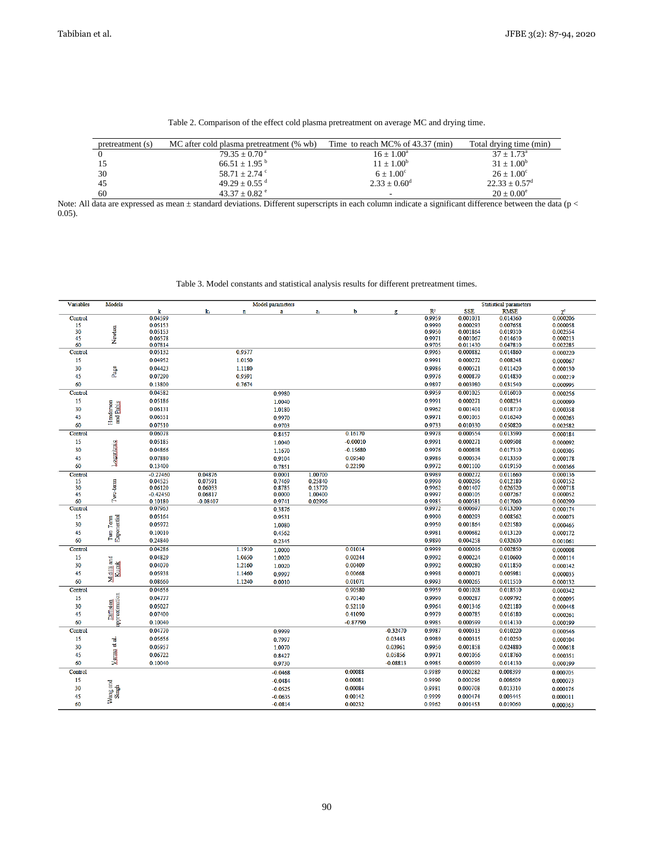| pretreatment (s) | MC after cold plasma pretreatment (% wb) | Time to reach MC% of 43.37 (min) | Total drying time (min)  |
|------------------|------------------------------------------|----------------------------------|--------------------------|
|                  | $79.35 + 0.70^{\text{a}}$                | $16 + 1.00^a$                    | $37 + 1.73^{\circ}$      |
|                  | $66.51 + 1.95^{b}$                       | $11 + 1.00^b$                    | $31 + 1.00^b$            |
| 30               | $58.71 + 2.74$ °                         | $6 + 1.00^{\circ}$               | $26 + 1.00^{\circ}$      |
| 45               | $49.29 + 0.55$ <sup>d</sup>              | $2.33 \pm 0.60^{\rm d}$          | $22.33 \pm 0.57^{\rm d}$ |
| 60               | $43.37 + 0.82$ <sup>e</sup>              |                                  | $20 + 0.00^e$            |

Table 2. Comparison of the effect cold plasma pretreatment on average MC and drying time.

Note: All data are expressed as mean  $\pm$  standard deviations. Different superscripts in each column indicate a significant difference between the data (p < 0.05).

|                | Table 5. Model constants and statistical analysis results for different pretreatment times. |                    |            |             |                  |         |            |            |                  |                      |                               |                          |
|----------------|---------------------------------------------------------------------------------------------|--------------------|------------|-------------|------------------|---------|------------|------------|------------------|----------------------|-------------------------------|--------------------------|
| Variables      | Models                                                                                      |                    |            |             | Model parameters |         |            |            |                  |                      | <b>Statistical parameters</b> |                          |
|                |                                                                                             | k                  | k,         | $\mathbf n$ | $\mathbf{a}$     | a,      | b          | ø          | R <sup>2</sup>   | <b>SSE</b>           | <b>RMSE</b>                   | $\chi^2$                 |
| Control        |                                                                                             | 0.04599            |            |             |                  |         |            |            | 0.9959           | 0.001031             | 0.014360                      | 0.000206                 |
| 15             |                                                                                             | 0.05153            |            |             |                  |         |            |            | 0.9990           | 0.000293<br>0.001864 | 0.007658<br>0.019310          | 0.000058                 |
| 30<br>45       | Newton                                                                                      | 0.05153<br>0.06578 |            |             |                  |         |            |            | 0.9950<br>0.9971 | 0.001067             | 0.014610                      | 0.002554                 |
| 60             |                                                                                             | 0.07814            |            |             |                  |         |            |            | 0.9705           | 0.011430             | 0.047810                      | $0.000213$<br>$0.002285$ |
| Control        |                                                                                             | 0.05132            |            | 0.9577      |                  |         |            |            | 0.9965           | 0.000882             | 0.014860                      | 0.000220                 |
| 15             |                                                                                             | 0.04952            |            | 1.0150      |                  |         |            |            | 0.9991           | 0.000272             | 0.008248                      | 0.000067                 |
| 30             |                                                                                             | 0.04423            |            | 1.1180      |                  |         |            |            | 0.9986           | 0.000521             | 0.011420                      | 0.000130                 |
| 45             | Page                                                                                        | 0.07290            |            | 0.9591      |                  |         |            |            | 0.9976           | 0.000879             | 0.014830                      | 0.000219                 |
| 60             |                                                                                             | 0.13800            |            | 0.7674      |                  |         |            |            | 0.9897           | 0.003980             | 0.031540                      | 0.000995                 |
| Control        |                                                                                             | 0.04582            |            |             | 0.9980           |         |            |            | 0.9959           | 0.001025             | 0.016010                      | 0.000256                 |
| 15             |                                                                                             | 0.05186            |            |             | 1.0040           |         |            |            | 0.9991           | 0.000271             | 0.008234                      | 0.000090                 |
| 30             |                                                                                             | 0.06131            |            |             | 1.0180           |         |            |            | 0.9962           | 0.001401             | 0.018710                      | 0.000358                 |
| 45             |                                                                                             | 0.06551            |            |             | 0.9970           |         |            |            | 0.9971           | 0.001055             | 0.016240                      | 0.000263                 |
| 60             | Henderson<br>and <u>Pabis</u>                                                               | 0.07510            |            |             | 0.9703           |         |            |            | 0.9733           | 0.010330             | 0.050820                      | 0.002582                 |
| <b>Control</b> |                                                                                             | 0.06078            |            |             | 0.8457           |         | 0.16170    |            | 0.9978           | 0.000554             | 0.013590                      | 0.000184                 |
| 15             |                                                                                             | 0.05185            |            |             | 1.0040           |         | $-0.00010$ |            | 0.9991           | 0.000271             | 0.009508                      | 0.000092                 |
| 30             |                                                                                             | 0.04866            |            |             | 1.1670           |         | $-0.15680$ |            | 0.9976           | 0.000898             | 0.017310                      | 0.000305                 |
| 45             |                                                                                             | 0.07880            |            |             | 0.9104           |         | 0.09540    |            | 0.9986           | 0.000534             | 0.013350                      | 0.000178                 |
| 60             | Logaritmic                                                                                  | 0.13400            |            |             | 0.7851           |         | 0.22190    |            | 0.9972           | 0.001100             | 0.019150                      | 0.000366                 |
|                |                                                                                             | $-0.27460$         | 0.04876    |             | 0.0001           | 1.00700 |            |            | 0.9989           | 0.000272             | 0.011660                      | 0.000136                 |
| Control<br>15  |                                                                                             | 0.04525            | 0.07591    |             | 0.7469           | 0.25840 |            |            | 0.9990           | 0.000296             | 0.012180                      | 0.000152                 |
| 30             | Two-term                                                                                    | 0.06120            | 0.06033    |             | 0.8785           | 0.13770 |            |            | 0.9962           | 0.001407             | 0.026520                      | 0.000718                 |
| 45             |                                                                                             | $-0.42450$         | 0.06817    |             | 0.0000           | 1.00400 |            |            | 0.9997           | 0.000105             | 0.007267                      | 0.000052                 |
| 60             |                                                                                             | 0.10180            | $-0.08407$ |             | 0.9741           | 0.02996 |            |            | 0.9985           | 0.000581             | 0.017060                      | 0.000290                 |
| Control        |                                                                                             | 0.07963            |            |             | 0.3876           |         |            |            | 0.9972           | 0.000697             | 0.013200                      | 0.000174                 |
| 15             |                                                                                             | 0.05164            |            |             | 0.9531           |         |            |            | 0.9990           | 0.000293             | 0.008562                      | 0.000073                 |
| 30             |                                                                                             | 0.05972            |            |             | 1.0080           |         |            |            | 0.9950           | 0.001864             | 0.021580                      | 0.000465                 |
| 45             | $\mathbb{T}$ wo Term $\mathbb{E}{\bf x}$ ponential                                          | 0.10010            |            |             | 0.4562           |         |            |            | 0.9981           | 0.000682             | 0.013120                      | 0.000172                 |
| 60             |                                                                                             | 0.24840            |            |             | 0.2345           |         |            |            | 0.9890           | 0.004258             | 0.032630                      | 0.001061                 |
| Control        |                                                                                             | 0.04286            |            | 1.1910      | 1.0000           |         | 0.01014    |            | 0.9999           | 0.000016             | 0.002850                      | 0.000008                 |
| 15             | Midilli and<br>Kuguk                                                                        | 0.04829            |            | 1.0650      | 1.0020           |         | 0.00244    |            | 0.9992           | 0.000224             | 0.010600                      | 0.000114                 |
| 30             |                                                                                             | 0.04070            |            | 1.2160      | 1.0020           |         | 0.00409    |            | 0.9992           | 0.000280             | 0.011850                      | 0.000142                 |
| 45             |                                                                                             | 0.05938            |            | 1.1460      | 0.9997           |         | 0.00668    |            | 0.9998           | 0.000071             | 0.005981                      | 0.000035                 |
| 60             |                                                                                             | 0.08660            |            | 1.1240      | 0.0010           |         | 0.01071    |            | 0.9993           | 0.000265             | 0.011510                      | 0.000132                 |
| <b>Control</b> |                                                                                             | 0.04656            |            |             |                  |         | 0.90580    |            | 0.9959           | 0.001028             | 0.018510                      | 0.000342                 |
| 15             |                                                                                             | 0.04777            |            |             |                  |         | 0.70140    |            | 0.9990           | 0.000287             | 0.009792                      | 0.000095                 |
| 30             |                                                                                             | 0.05027            |            |             |                  |         | 0.52110    |            | 0.9964           | 0.001346             | 0.021180                      | 0.000448                 |
| 45             |                                                                                             | 0.07400            |            |             |                  |         | 0.41090    |            | 0.9979           | 0.000785             | 0.016180                      | 0.000261                 |
| 60             | Diffusion<br>approximation                                                                  | 0.10040            |            |             |                  |         | $-0.87790$ |            | 0.9985           | 0.000599             | 0.014130                      | 0.000199                 |
| Control        |                                                                                             | 0.04770            |            |             | 0.9999           |         |            | $-0.32470$ | 0.9987           | 0.000313             | 0.010220                      | 0.000546                 |
| 15             |                                                                                             | 0.05656            |            |             | 0.7997           |         |            | 0.03443    | 0.9989           | 0.000315             | 0.010250                      | 0.000104                 |
| 30             | Verma et al.                                                                                | 0.05957            |            |             | 1.0070           |         |            | 0.03961    | 0.9950           | 0.001858             | 0.024880                      | 0.000618                 |
| 45             |                                                                                             | 0.06722            |            |             | 0.8427           |         |            | 0.05856    | 0.9971           | 0.001056             | 0.018760                      | 0.000351                 |
| 60             |                                                                                             | 0.10040            |            |             | 0.9730           |         |            | $-0.08813$ | 0.9985           | 0.000599             | 0.014130                      | 0.000199                 |
| <b>Control</b> |                                                                                             |                    |            |             | $-0.0468$        |         | 0.00088    |            | 0.9989           | 0.000282             | 0.008399                      | 0.000705                 |
| 15             |                                                                                             |                    |            |             | $-0.0484$        |         | 0.00081    |            | 0.9990           | 0.000296             | 0.008609                      | 0.000073                 |
| 30             | Wang and<br>Singh                                                                           |                    |            |             | $-0.0525$        |         | 0.00084    |            | 0.9981           | 0.000708             | 0.013310                      | 0.000176                 |
| 45             |                                                                                             |                    |            |             | $-0.0635$        |         | 0.00142    |            | 0.9999           | 0.000474             | 0.003445                      | 0.000011                 |
| 60             |                                                                                             |                    |            |             | $-0.0814$        |         | 0.00232    |            | 0.9962           | 0.001453             | 0.019060                      | 0.000363                 |
|                |                                                                                             |                    |            |             |                  |         |            |            |                  |                      |                               |                          |

Table 3. Model constants and statistical analysis results for different pretreatment times.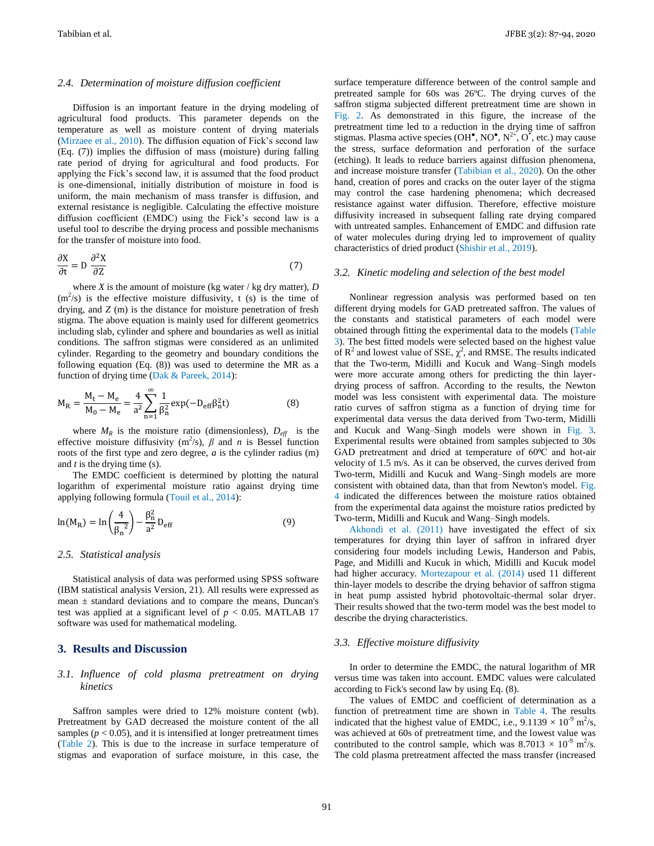#### *2.4. Determination of moisture diffusion coefficient*

Diffusion is an important feature in the drying modeling of agricultural food products. This parameter depends on the temperature as well as moisture content of drying materials (Mirzaee et al., 2010). The diffusion equation of Fick's second law (Eq. (7)) implies the diffusion of mass (moisture) during falling rate period of drying for agricultural and food products. For applying the Fick's second law, it is assumed that the food product is one-dimensional, initially distribution of moisture in food is uniform, the main mechanism of mass transfer is diffusion, and external resistance is negligible. Calculating the effective moisture diffusion coefficient (EMDC) using the Fick's second law is a useful tool to describe the drying process and possible mechanisms for the transfer of moisture into food.

$$
\frac{\partial X}{\partial t} = D \frac{\partial^2 X}{\partial Z} \tag{7}
$$

where *X* is the amount of moisture (kg water / kg dry matter),  $D$  $(m<sup>2</sup>/s)$  is the effective moisture diffusivity, t (s) is the time of drying, and *Z* (m) is the distance for moisture penetration of fresh stigma. The above equation is mainly used for different geometrics including slab, cylinder and sphere and boundaries as well as initial conditions. The saffron stigmas were considered as an unlimited cylinder. Regarding to the geometry and boundary conditions the following equation (Eq. (8)) was used to determine the MR as a function of drying time (Dak & Pareek, 2014):

$$
M_R = \frac{M_t - M_e}{M_0 - M_e} = \frac{4}{a^2} \sum_{n=1}^{\infty} \frac{1}{\beta_n^2} \exp(-D_{eff} \beta_n^2 t)
$$
(8)

where  $M_R$  is the moisture ratio (dimensionless),  $D_{\text{eff}}$  is the effective moisture diffusivity  $(m^2/s)$ ,  $\beta$  and *n* is Bessel function roots of the first type and zero degree, *a* is the cylinder radius (m) and *t* is the drying time (s).

The EMDC coefficient is determined by plotting the natural logarithm of experimental moisture ratio against drying time applying following formula (Touil et al., 2014):

$$
\ln(M_R) = \ln\left(\frac{4}{\beta_n^2}\right) - \frac{\beta_n^2}{a^2} D_{\text{eff}} \tag{9}
$$

#### *2.5. Statistical analysis*

Statistical analysis of data was performed using SPSS software (IBM statistical analysis Version, 21). All results were expressed as mean  $\pm$  standard deviations and to compare the means, Duncan's test was applied at a significant level of  $p < 0.05$ . MATLAB 17 software was used for mathematical modeling.

## **3. Results and Discussion**

## *3.1. Influence of cold plasma pretreatment on drying kinetics*

Saffron samples were dried to 12% moisture content (wb). Pretreatment by GAD decreased the moisture content of the all samples ( $p < 0.05$ ), and it is intensified at longer pretreatment times (Table 2). This is due to the increase in surface temperature of stigmas and evaporation of surface moisture, in this case, the

surface temperature difference between of the control sample and pretreated sample for 60s was 26ºC. The drying curves of the saffron stigma subjected different pretreatment time are shown in Fig. 2. As demonstrated in this figure, the increase of the pretreatment time led to a reduction in the drying time of saffron stigmas. Plasma active species  $(OH^{\bullet}, NO^{\bullet}, N^{2+}, O^{\dagger}, etc.)$  may cause the stress, surface deformation and perforation of the surface (etching). It leads to reduce barriers against diffusion phenomena, and increase moisture transfer (Tabibian et al., 2020). On the other hand, creation of pores and cracks on the outer layer of the stigma may control the case hardening phenomena; which decreased resistance against water diffusion. Therefore, effective moisture diffusivity increased in subsequent falling rate drying compared with untreated samples. Enhancement of EMDC and diffusion rate of water molecules during drying led to improvement of quality characteristics of dried product (Shishir et al., 2019).

#### *3.2. Kinetic modeling and selection of the best model*

Nonlinear regression analysis was performed based on ten different drying models for GAD pretreated saffron. The values of the constants and statistical parameters of each model were obtained through fitting the experimental data to the models (Table 3). The best fitted models were selected based on the highest value of  $\mathbb{R}^2$  and lowest value of SSE,  $\chi^2$ , and RMSE. The results indicated that the Two-term, Midilli and Kucuk and Wang–Singh models were more accurate among others for predicting the thin layerdrying process of saffron. According to the results, the Newton model was less consistent with experimental data. The moisture ratio curves of saffron stigma as a function of drying time for experimental data versus the data derived from Two-term, Midilli and Kucuk and Wang–Singh models were shown in Fig. 3. Experimental results were obtained from samples subjected to 30s GAD pretreatment and dried at temperature of 60°C and hot-air velocity of 1.5 m/s. As it can be observed, the curves derived from Two-term, Midilli and Kucuk and Wang–Singh models are more consistent with obtained data, than that from Newton's model. Fig. 4 indicated the differences between the moisture ratios obtained from the experimental data against the moisture ratios predicted by Two-term, Midilli and Kucuk and Wang–Singh models.

Akhondi et al. (2011) have investigated the effect of six temperatures for drying thin layer of saffron in infrared dryer considering four models including Lewis, Handerson and Pabis, Page, and Midilli and Kucuk in which, Midilli and Kucuk model had higher accuracy. Mortezapour et al. (2014) used 11 different thin-layer models to describe the drying behavior of saffron stigma in heat pump assisted hybrid photovoltaic-thermal solar dryer. Their results showed that the two-term model was the best model to describe the drying characteristics.

#### *3.3. Effective moisture diffusivity*

In order to determine the EMDC, the natural logarithm of MR versus time was taken into account. EMDC values were calculated according to Fick's second law by using Eq. (8).

The values of EMDC and coefficient of determination as a function of pretreatment time are shown in Table 4. The results indicated that the highest value of EMDC, i.e.,  $9.1139 \times 10^{-9}$  m<sup>2</sup>/s, was achieved at 60s of pretreatment time, and the lowest value was contributed to the control sample, which was  $8.7013 \times 10^{-9}$  m<sup>2</sup>/s. The cold plasma pretreatment affected the mass transfer (increased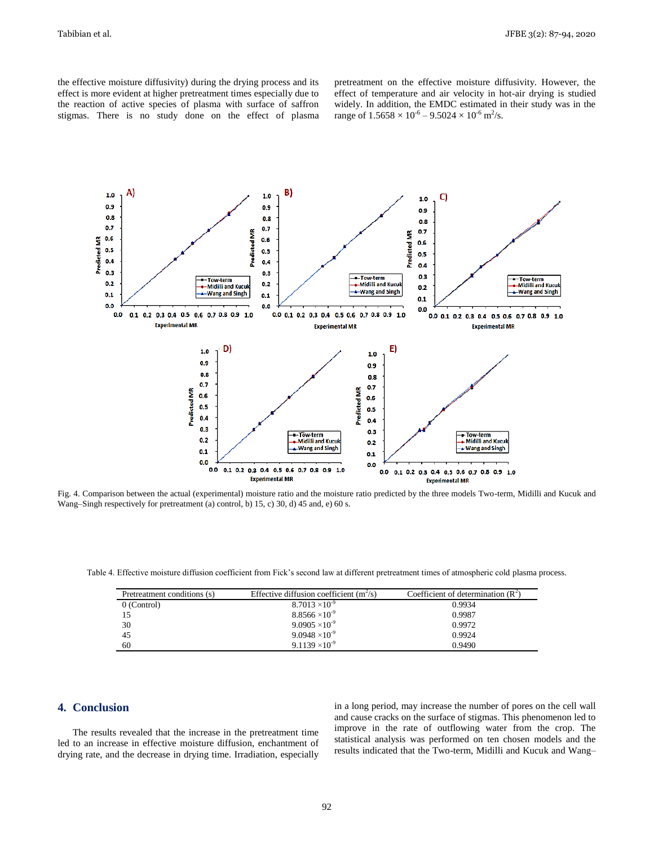the effective moisture diffusivity) during the drying process and its effect is more evident at higher pretreatment times especially due to the reaction of active species of plasma with surface of saffron stigmas. There is no study done on the effect of plasma pretreatment on the effective moisture diffusivity. However, the effect of temperature and air velocity in hot-air drying is studied widely. In addition, the EMDC estimated in their study was in the range of  $1.5658 \times 10^{-6} - 9.5024 \times 10^{-6}$  m<sup>2</sup>/s.



Fig. 4. Comparison between the actual (experimental) moisture ratio and the moisture ratio predicted by the three models Two-term, Midilli and Kucuk and Wang–Singh respectively for pretreatment (a) control, b) 15, c) 30, d) 45 and, e) 60 s.

Table 4. Effective moisture diffusion coefficient from Fick's second law at different pretreatment times of atmospheric cold plasma process.

| Pretreatment conditions (s) | Effective diffusion coefficient $(m^2/s)$ | Coefficient of determination $(R^2)$ |
|-----------------------------|-------------------------------------------|--------------------------------------|
| 0 (Control)                 | $8.7013 \times 10^{-9}$                   | 0.9934                               |
|                             | $8.8566 \times 10^{-9}$                   | 0.9987                               |
| 30                          | $9.0905 \times 10^{-9}$                   | 0.9972                               |
| 45                          | $9.0948 \times 10^{-9}$                   | 0.9924                               |
| 60                          | $9.1139 \times 10^{-9}$                   | 0.9490                               |

# **4. Conclusion**

The results revealed that the increase in the pretreatment time led to an increase in effective moisture diffusion, enchantment of drying rate, and the decrease in drying time. Irradiation, especially

in a long period, may increase the number of pores on the cell wall and cause cracks on the surface of stigmas. This phenomenon led to improve in the rate of outflowing water from the crop. The statistical analysis was performed on ten chosen models and the results indicated that the Two-term, Midilli and Kucuk and Wang–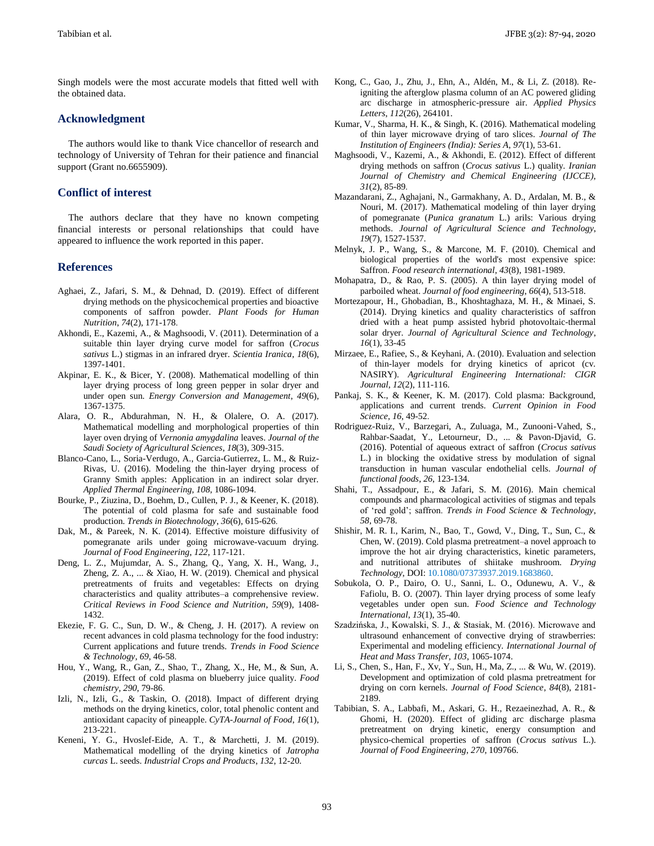Singh models were the most accurate models that fitted well with the obtained data.

### **Acknowledgment**

The authors would like to thank Vice chancellor of research and technology of University of Tehran for their patience and financial support (Grant no.6655909).

# **Conflict of interest**

The authors declare that they have no known competing financial interests or personal relationships that could have appeared to influence the work reported in this paper.

### **References**

- Aghaei, Z., Jafari, S. M., & Dehnad, D. (2019). Effect of different drying methods on the physicochemical properties and bioactive components of saffron powder. *Plant Foods for Human Nutrition*, *74*(2), 171-178.
- Akhondi, E., Kazemi, A., & Maghsoodi, V. (2011). Determination of a suitable thin layer drying curve model for saffron (*Crocus sativus* L.) stigmas in an infrared dryer. *Scientia Iranica*, *18*(6), 1397-1401.
- Akpinar, E. K., & Bicer, Y. (2008). Mathematical modelling of thin layer drying process of long green pepper in solar dryer and under open sun. *Energy Conversion and Management*, *49*(6), 1367-1375.
- Alara, O. R., Abdurahman, N. H., & Olalere, O. A. (2017). Mathematical modelling and morphological properties of thin layer oven drying of *Vernonia amygdalina* leaves. *Journal of the Saudi Society of Agricultural Sciences*, *18*(3), 309-315.
- Blanco-Cano, L., Soria-Verdugo, A., Garcia-Gutierrez, L. M., & Ruiz-Rivas, U. (2016). Modeling the thin-layer drying process of Granny Smith apples: Application in an indirect solar dryer. *Applied Thermal Engineering*, *108*, 1086-1094.
- Bourke, P., Ziuzina, D., Boehm, D., Cullen, P. J., & Keener, K. (2018). The potential of cold plasma for safe and sustainable food production. *Trends in Biotechnology*, *36*(6), 615-626.
- Dak, M., & Pareek, N. K. (2014). Effective moisture diffusivity of pomegranate arils under going microwave-vacuum drying. *Journal of Food Engineering*, *122*, 117-121.
- Deng, L. Z., Mujumdar, A. S., Zhang, Q., Yang, X. H., Wang, J., Zheng, Z. A., ... & Xiao, H. W. (2019). Chemical and physical pretreatments of fruits and vegetables: Effects on drying characteristics and quality attributes–a comprehensive review. *Critical Reviews in Food Science and Nutrition*, *59*(9), 1408- 1432.
- Ekezie, F. G. C., Sun, D. W., & Cheng, J. H. (2017). A review on recent advances in cold plasma technology for the food industry: Current applications and future trends. *Trends in Food Science & Technology*, *69*, 46-58.
- Hou, Y., Wang, R., Gan, Z., Shao, T., Zhang, X., He, M., & Sun, A. (2019). Effect of cold plasma on blueberry juice quality. *Food chemistry*, *290*, 79-86.
- Izli, N., Izli, G., & Taskin, O. (2018). Impact of different drying methods on the drying kinetics, color, total phenolic content and antioxidant capacity of pineapple. *CyTA-Journal of Food*, *16*(1), 213-221.
- Keneni, Y. G., Hvoslef-Eide, A. T., & Marchetti, J. M. (2019). Mathematical modelling of the drying kinetics of *Jatropha curcas* L. seeds. *Industrial Crops and Products*, *132*, 12-20.
- Kong, C., Gao, J., Zhu, J., Ehn, A., Aldén, M., & Li, Z. (2018). Reigniting the afterglow plasma column of an AC powered gliding arc discharge in atmospheric-pressure air. *Applied Physics Letters*, *112*(26), 264101.
- Kumar, V., Sharma, H. K., & Singh, K. (2016). Mathematical modeling of thin layer microwave drying of taro slices. *Journal of The Institution of Engineers (India): Series A*, *97*(1), 53-61.
- Maghsoodi, V., Kazemi, A., & Akhondi, E. (2012). Effect of different drying methods on saffron (*Crocus sativus* L.) quality. *Iranian Journal of Chemistry and Chemical Engineering (IJCCE)*, *31*(2), 85-89.
- Mazandarani, Z., Aghajani, N., Garmakhany, A. D., Ardalan, M. B., & Nouri, M. (2017). Mathematical modeling of thin layer drying of pomegranate (*Punica granatum* L.) arils: Various drying methods. *Journal of Agricultural Science and Technology*, *19*(7), 1527-1537.
- Melnyk, J. P., Wang, S., & Marcone, M. F. (2010). Chemical and biological properties of the world's most expensive spice: Saffron. *Food research international*, *43*(8), 1981-1989.
- Mohapatra, D., & Rao, P. S. (2005). A thin layer drying model of parboiled wheat. *Journal of food engineering*, *66*(4), 513-518.
- Mortezapour, H., Ghobadian, B., Khoshtaghaza, M. H., & Minaei, S. (2014). Drying kinetics and quality characteristics of saffron dried with a heat pump assisted hybrid photovoltaic-thermal solar dryer. *Journal of Agricultural Science and Technology*, *16*(1), 33-45
- Mirzaee, E., Rafiee, S., & Keyhani, A. (2010). Evaluation and selection of thin-layer models for drying kinetics of apricot (cv. NASIRY). *Agricultural Engineering International: CIGR Journal*, *12*(2), 111-116.
- Pankaj, S. K., & Keener, K. M. (2017). Cold plasma: Background, applications and current trends. *Current Opinion in Food Science*, *16*, 49-52.
- Rodriguez-Ruiz, V., Barzegari, A., Zuluaga, M., Zunooni-Vahed, S., Rahbar-Saadat, Y., Letourneur, D., ... & Pavon-Djavid, G. (2016). Potential of aqueous extract of saffron (*Crocus sativus* L.) in blocking the oxidative stress by modulation of signal transduction in human vascular endothelial cells. *Journal of functional foods*, *26*, 123-134.
- Shahi, T., Assadpour, E., & Jafari, S. M. (2016). Main chemical compounds and pharmacological activities of stigmas and tepals of 'red gold'; saffron. *Trends in Food Science & Technology*, *58*, 69-78.
- Shishir, M. R. I., Karim, N., Bao, T., Gowd, V., Ding, T., Sun, C., & Chen, W. (2019). Cold plasma pretreatment–a novel approach to improve the hot air drying characteristics, kinetic parameters, and nutritional attributes of shiitake mushroom. *Drying Technology*, DOI: 10.1080/07373937.2019.1683860.
- Sobukola, O. P., Dairo, O. U., Sanni, L. O., Odunewu, A. V., & Fafiolu, B. O. (2007). Thin layer drying process of some leafy vegetables under open sun. *Food Science and Technology International*, *13*(1), 35-40.
- Szadzińska, J., Kowalski, S. J., & Stasiak, M. (2016). Microwave and ultrasound enhancement of convective drying of strawberries: Experimental and modeling efficiency. *International Journal of Heat and Mass Transfer*, *103*, 1065-1074.
- Li, S., Chen, S., Han, F., Xv, Y., Sun, H., Ma, Z., ... & Wu, W. (2019). Development and optimization of cold plasma pretreatment for drying on corn kernels. *Journal of Food Science*, *84*(8), 2181- 2189.
- Tabibian, S. A., Labbafi, M., Askari, G. H., Rezaeinezhad, A. R., & Ghomi, H. (2020). Effect of gliding arc discharge plasma pretreatment on drying kinetic, energy consumption and physico-chemical properties of saffron (*Crocus sativus* L.). *Journal of Food Engineering*, *270*, 109766.